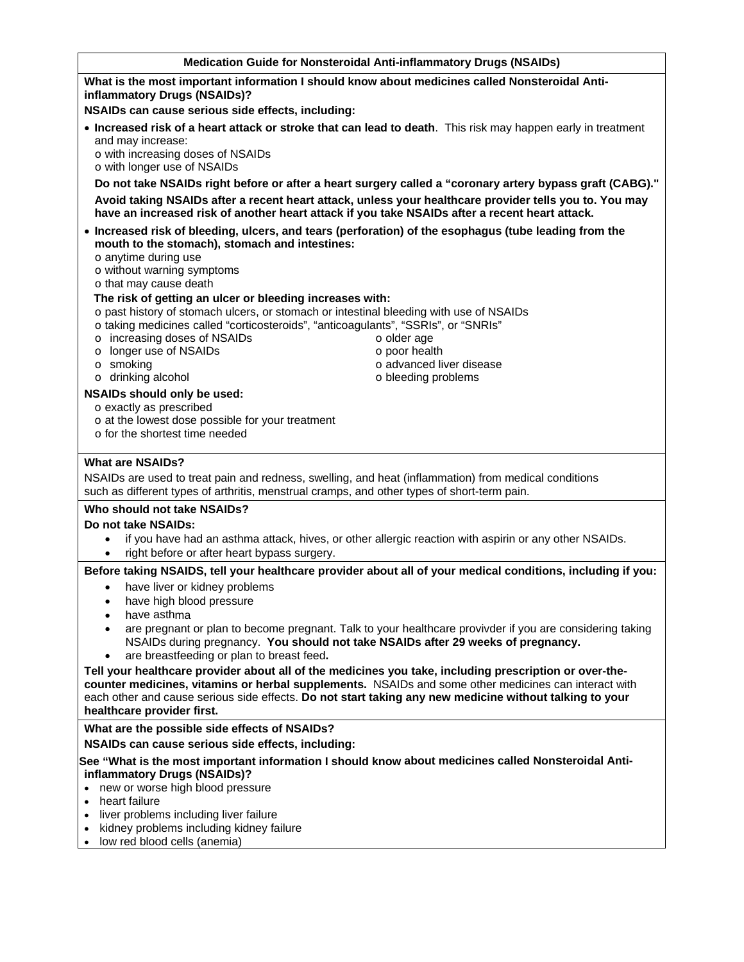### **Medication Guide for Nonsteroidal Anti-inflammatory Drugs (NSAIDs)**

# **What is the most important information I should know about medicines called Nonsteroidal Antiinflammatory Drugs (NSAIDs)?**

**NSAIDs can cause serious side effects, including:**

- **Increased risk of a heart attack or stroke that can lead to death**. This risk may happen early in treatment and may increase:
	- o with increasing doses of NSAIDs

o with longer use of NSAIDs

**Do not take NSAIDs right before or after a heart surgery called a "coronary artery bypass graft (CABG)." Avoid taking NSAIDs after a recent heart attack, unless your healthcare provider tells you to. You may have an increased risk of another heart attack if you take NSAIDs after a recent heart attack.** 

> o older age o poor health

o advanced liver disease o bleeding problems

 **Increased risk of bleeding, ulcers, and tears (perforation) of the esophagus (tube leading from the mouth to the stomach), stomach and intestines:**

o anytime during use

o without warning symptoms

o that may cause death

### **The risk of getting an ulcer or bleeding increases with:**

- o past history of stomach ulcers, or stomach or intestinal bleeding with use of NSAIDs
- o taking medicines called "corticosteroids", "anticoagulants", "SSRIs", or "SNRIs"
- o increasing doses of NSAIDs
- o longer use of NSAIDs
- o smoking
- o drinking alcohol

# **NSAIDs should only be used:**

- o exactly as prescribed
- o at the lowest dose possible for your treatment
- o for the shortest time needed

# **What are NSAIDs?**

NSAIDs are used to treat pain and redness, swelling, and heat (inflammation) from medical conditions such as different types of arthritis, menstrual cramps, and other types of short-term pain.

#### **Who should not take NSAIDs?**

#### **Do not take NSAIDs:**

- if you have had an asthma attack, hives, or other allergic reaction with aspirin or any other NSAIDs.
- right before or after heart bypass surgery.

**Before taking NSAIDS, tell your healthcare provider about all of your medical conditions, including if you:** 

- have liver or kidney problems
- have high blood pressure
- have asthma
- are pregnant or plan to become pregnant. Talk to your healthcare provivder if you are considering taking NSAIDs during pregnancy. **You should not take NSAIDs after 29 weeks of pregnancy.**
- are breastfeeding or plan to breast feed**.**

**Tell your healthcare provider about all of the medicines you take, including prescription or over-thecounter medicines, vitamins or herbal supplements.** NSAIDs and some other medicines can interact with each other and cause serious side effects. **Do not start taking any new medicine without talking to your healthcare provider first.** 

**What are the possible side effects of NSAIDs?** 

**NSAIDs can cause serious side effects, including:** 

**See "What is the most important information I should know about medicines called Nonsteroidal Antiinflammatory Drugs (NSAIDs)?**

- new or worse high blood pressure
- heart failure
- liver problems including liver failure
- kidney problems including kidney failure
- low red blood cells (anemia)